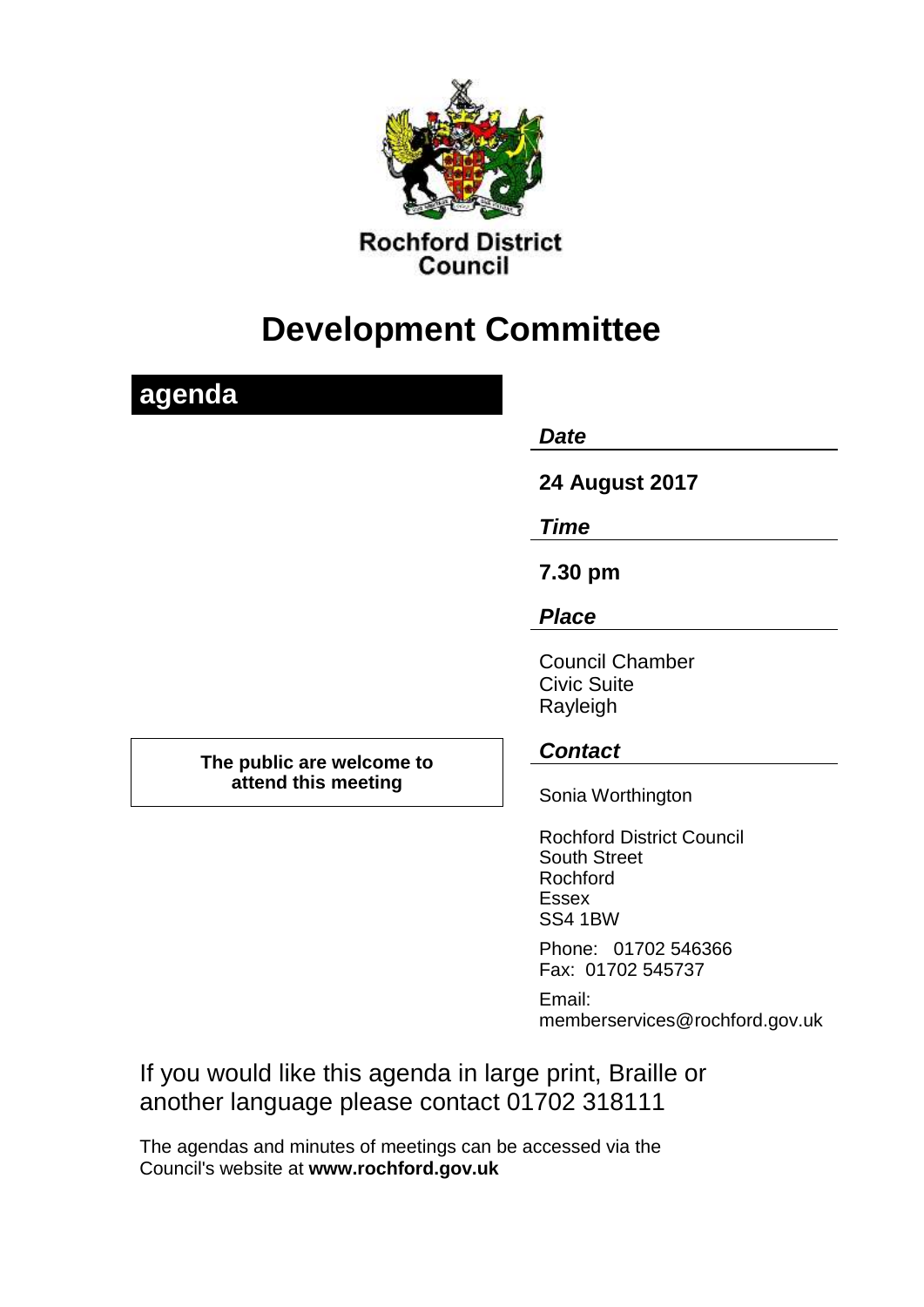

# **Development Committee**

## **agenda** *Date*  **24 August 2017** *Time* **7.30 pm** *Place* Council Chamber Civic Suite Rayleigh **The public are welcome to attend this meeting** *Contact* Sonia Worthington Rochford District Council South Street Rochford Essex SS4 1BW Phone: 01702 546366 Fax: 01702 545737 Email:

If you would like this agenda in large print, Braille or another language please contact 01702 318111

memberservices@rochford.gov.uk

The agendas and minutes of meetings can be accessed via the Council's website at **[www.rochford.gov.uk](http://www.rochford.gov.uk/)**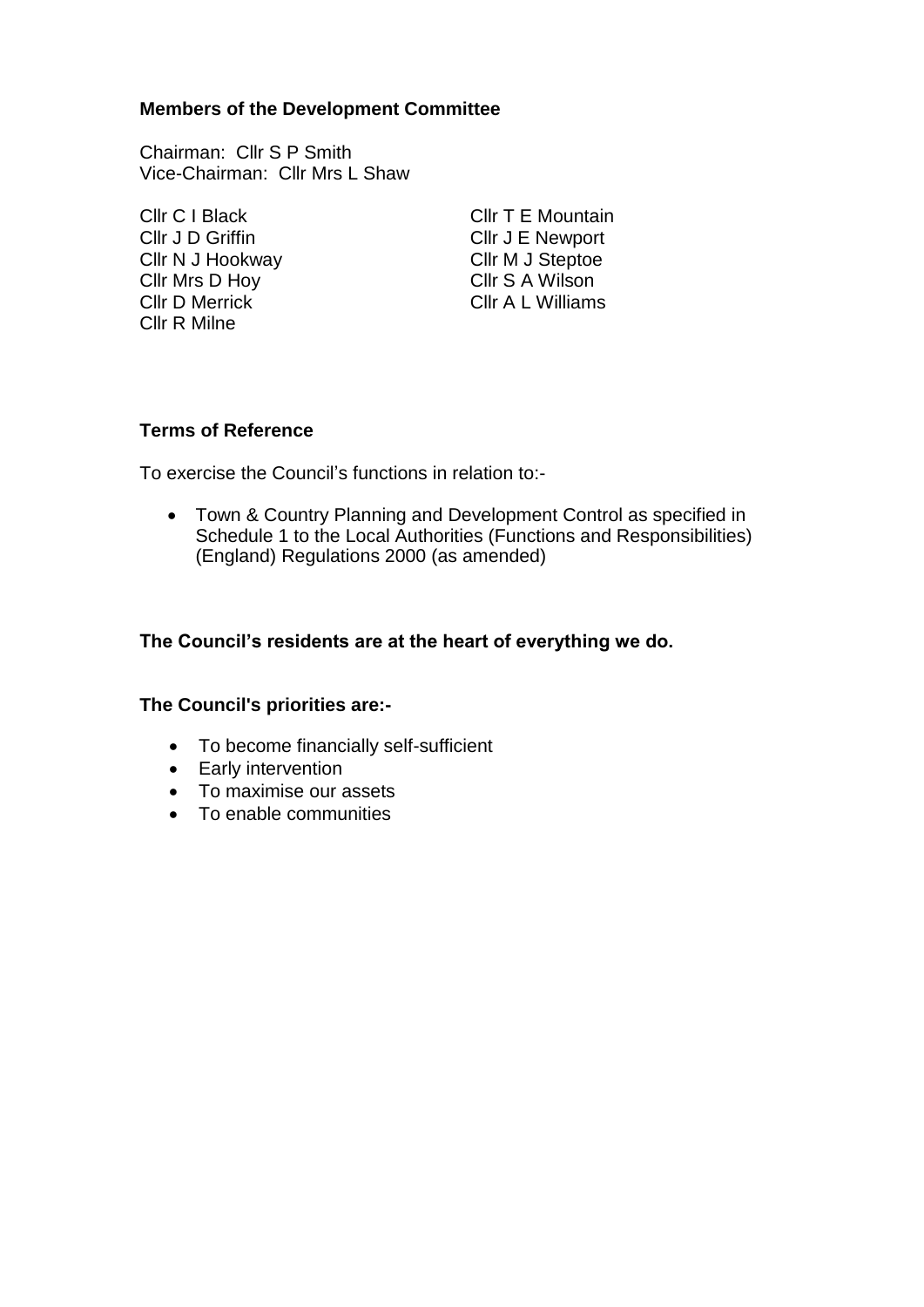#### **Members of the Development Committee**

Chairman: Cllr S P Smith Vice-Chairman: Cllr Mrs L Shaw

Cllr J D Griffin Cllr J E Newport Cllr N J Hookway Cllr M J Steptoe Cllr Mrs D Hoy Cllr S A Wilson Cllr D Merrick Cllr A L Williams Cllr R Milne

Cllr C I Black Cllr T E Mountain

### **Terms of Reference**

To exercise the Council's functions in relation to:-

 Town & Country Planning and Development Control as specified in Schedule 1 to the Local Authorities (Functions and Responsibilities) (England) Regulations 2000 (as amended)

### **The Council's residents are at the heart of everything we do.**

#### **The Council's priorities are:-**

- To become financially self-sufficient
- Early intervention
- To maximise our assets
- To enable communities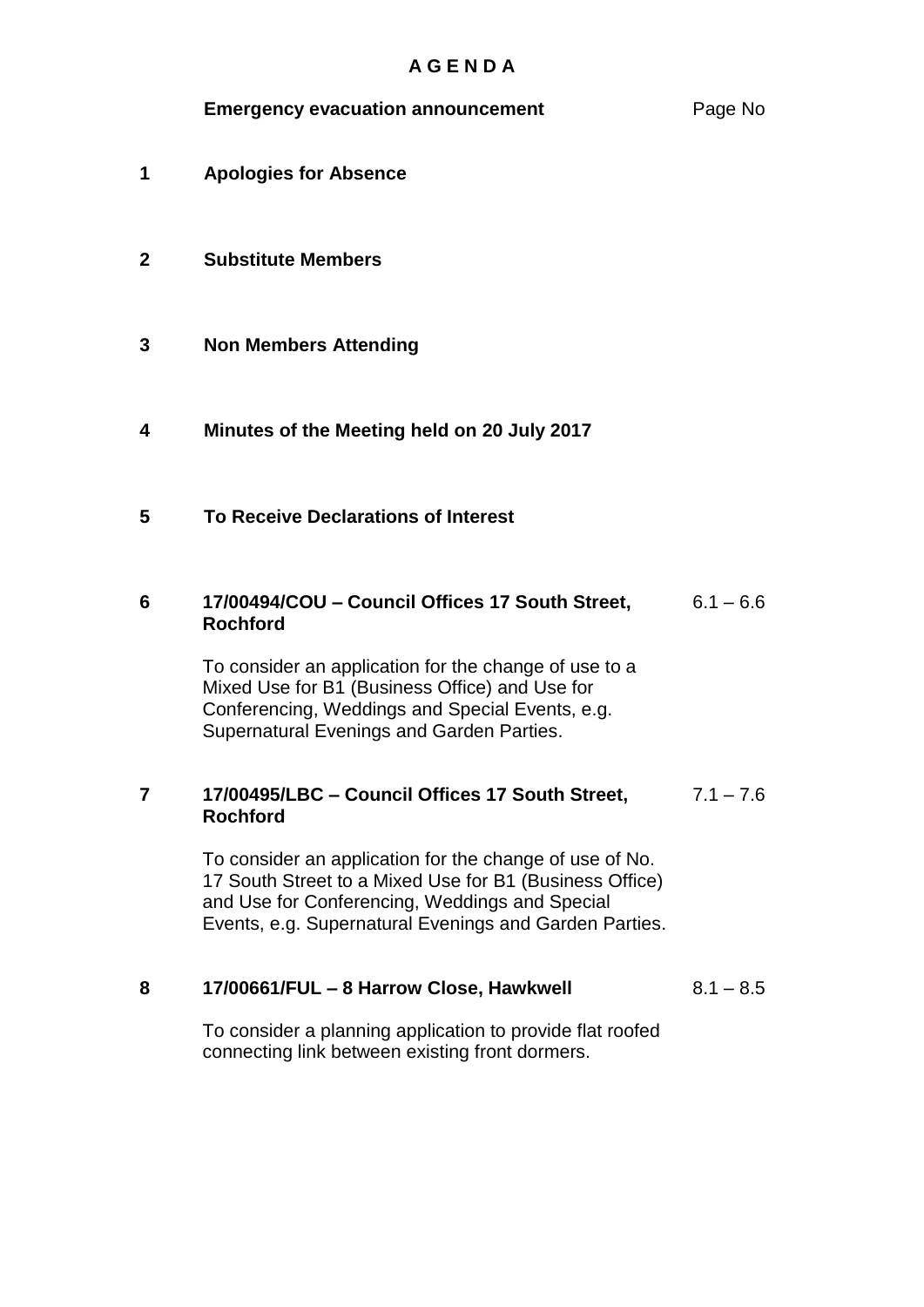| <b>Emergency evacuation announcement</b> | Page No |
|------------------------------------------|---------|
|------------------------------------------|---------|

**1** 1**Apologies for Absence**

### **2 Substitute Members**

- **3 Non Members Attending**
- **4 2Minutes of the Meeting held on 20 July 2017**
- **5 3To Receive Declarations of Interest**

#### **6 17/00494/COU – Council Offices 17 South Street, Rochford**  $6.1 - 6.6$

To consider an application for the change of use to a Mixed Use for B1 (Business Office) and Use for Conferencing, Weddings and Special Events, e.g. Supernatural Evenings and Garden Parties.

#### **7 17/00495/LBC – Council Offices 17 South Street, Rochford**  $7.1 - 7.6$

To consider an application for the change of use of No. 17 South Street to a Mixed Use for B1 (Business Office) and Use for Conferencing, Weddings and Special Events, e.g. Supernatural Evenings and Garden Parties.

#### **8 17/00661/FUL – 8 Harrow Close, Hawkwell**  $8.1 - 8.5$

To consider a planning application to provide flat roofed connecting link between existing front dormers.